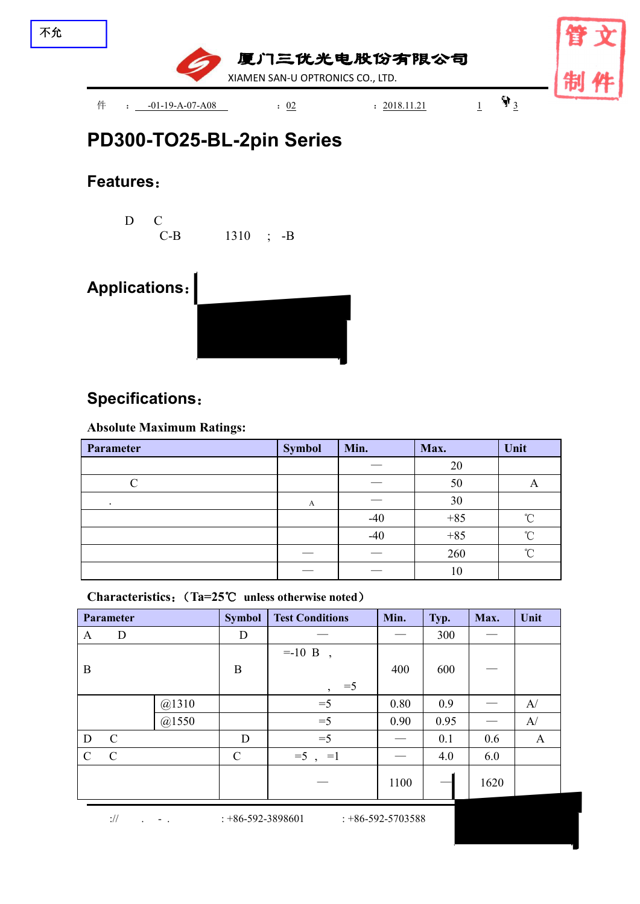

# **PD300-TO25-BL-2pin [Series](file:///C:/Users/Administrator/AppData/Local/youdao/dict/Application/7.5.2.0/resultui/dict/?keyword=series)**

### **Features**:

D C C-B 1310 ; -B

## **Applications**:



### **Specifications**:

#### **Absolute Maximum Ratings:**

| Parameter | <b>Symbol</b> | Min.  | Max.  | Unit   |
|-----------|---------------|-------|-------|--------|
|           |               |       | 20    |        |
|           |               |       | 50    | л      |
| $\cdot$   | A             |       | 30    |        |
|           |               | $-40$ | $+85$ | $\sim$ |
|           |               | $-40$ | $+85$ | $\sim$ |
|           |               |       | 260   | $\sim$ |
|           |               |       | 10    |        |

**Characteristics**:(**Ta=25**℃ **unless otherwise noted**)

|               | Parameter     |       | <b>Symbol</b> | <b>Test Conditions</b>                | Min. | Typ. | Max. | Unit |
|---------------|---------------|-------|---------------|---------------------------------------|------|------|------|------|
| A             | D             |       | D             |                                       |      | 300  |      |      |
|               |               |       |               | $= -10$ B<br>$\overline{\phantom{a}}$ |      |      |      |      |
| $\bf{B}$      |               |       | $\, {\bf B}$  |                                       | 400  | 600  |      |      |
|               |               |       |               | $=5$<br>$\overline{ }$                |      |      |      |      |
|               |               | @1310 |               | $=5$                                  | 0.80 | 0.9  |      | A/   |
|               |               | @1550 |               | $=5$                                  | 0.90 | 0.95 |      | A/   |
| D             | $\mathcal{C}$ |       | D             | $=$ 5                                 |      | 0.1  | 0.6  | A    |
| $\mathcal{C}$ | $\mathcal{C}$ |       | $\mathcal{C}$ | $=5$ , $=1$                           |      | 4.0  | 6.0  |      |
|               |               |       |               |                                       | 1100 |      | 1620 |      |

:// . - . : +86-592-3898601 : +86-592-5703588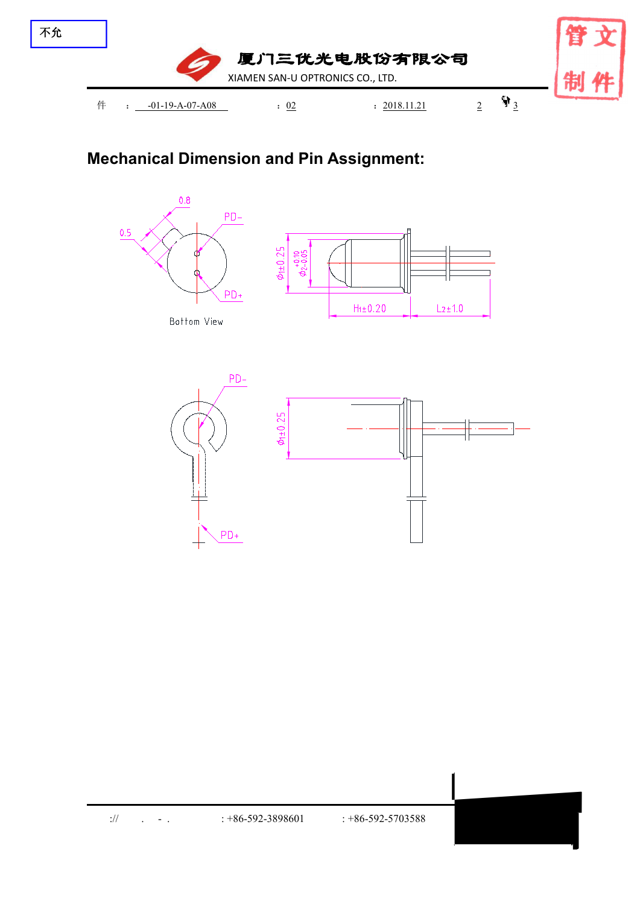